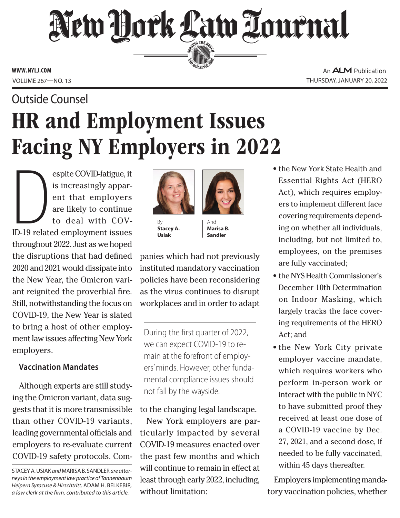# New Hork Law Lournal SERVING THE BET

**ED BAR SINCE 1888** 

**www. NYLJ.com**

An **ALM** Publication Volume 267—NO. 13 Thursday, January 20, 2022

# HR and Employment Issues Facing NY Employers in 2022 Outside Counsel

espite COVID-fatigue, it<br>is increasingly apparent that employers<br>are likely to continue<br>to deal with COV-<br>ID-19 related employment issues espite COVID-fatigue, it is increasingly apparent that employers are likely to continue to deal with COVthroughout 2022. Just as we hoped the disruptions that had defined 2020 and 2021 would dissipate into the New Year, the Omicron variant reignited the proverbial fire. Still, notwithstanding the focus on COVID-19, the New Year is slated to bring a host of other employment law issues affecting New York employers.

# **Vaccination Mandates**

Although experts are still studying the Omicron variant, data suggests that it is more transmissible than other COVID-19 variants, leading governmental officials and employers to re-evaluate current COVID-19 safety protocols. Com-



By **Stacey A. Usiak**

And **Marisa B. Sandler**

panies which had not previously instituted mandatory vaccination policies have been reconsidering as the virus continues to disrupt workplaces and in order to adapt

During the first quarter of 2022, we can expect COVID-19 to remain at the forefront of employers' minds. However, other fundamental compliance issues should not fall by the wayside.

# to the changing legal landscape.

New York employers are particularly impacted by several COVID-19 measures enacted over the past few months and which will continue to remain in effect at least through early 2022, including, without limitation:

- the New York State Health and Essential Rights Act (HERO Act), which requires employers to implement different face covering requirements depending on whether all individuals, including, but not limited to, employees, on the premises are fully vaccinated;
- the NYS Health Commissioner's December 10th Determination on Indoor Masking, which largely tracks the face covering requirements of the HERO Act; and
- the New York City private employer vaccine mandate, which requires workers who perform in-person work or interact with the public in NYC to have submitted proof they received at least one dose of a COVID-19 vaccine by Dec. 27, 2021, and a second dose, if needed to be fully vaccinated, within 45 days thereafter.

Employers implementing mandatory vaccination policies, whether

Stacey A. Usiak *and* Marisa B. Sandler *are attorneys in the employment law practice of Tannenbaum Helpern Syracuse & Hirschtritt.* Adam H. Belkebir*, a law clerk at the firm, contributed to this article.*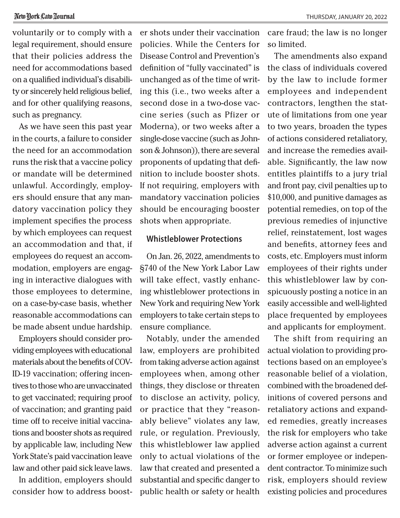voluntarily or to comply with a legal requirement, should ensure that their policies address the need for accommodations based on a qualified individual's disability or sincerely held religious belief, and for other qualifying reasons, such as pregnancy.

As we have seen this past year in the courts, a failure to consider the need for an accommodation runs the risk that a vaccine policy or mandate will be determined unlawful. Accordingly, employers should ensure that any mandatory vaccination policy they implement specifies the process by which employees can request an accommodation and that, if employees do request an accommodation, employers are engaging in interactive dialogues with those employees to determine, on a case-by-case basis, whether reasonable accommodations can be made absent undue hardship.

Employers should consider providing employees with educational materials about the benefits of COV-ID-19 vaccination; offering incentives to those who are unvaccinated to get vaccinated; requiring proof of vaccination; and granting paid time off to receive initial vaccinations and booster shots as required by applicable law, including New York State's paid vaccination leave law and other paid sick leave laws.

In addition, employers should consider how to address boost-

er shots under their vaccination policies. While the Centers for Disease Control and Prevention's definition of "fully vaccinated" is unchanged as of the time of writing this (i.e., two weeks after a second dose in a two-dose vaccine series (such as Pfizer or Moderna), or two weeks after a single-dose vaccine (such as Johnson & Johnson)), there are several proponents of updating that definition to include booster shots. If not requiring, employers with mandatory vaccination policies should be encouraging booster shots when appropriate.

#### **Whistleblower Protections**

On Jan. 26, 2022, amendments to §740 of the New York Labor Law will take effect, vastly enhancing whistleblower protections in New York and requiring New York employers to take certain steps to ensure compliance.

Notably, under the amended law, employers are prohibited from taking adverse action against employees when, among other things, they disclose or threaten to disclose an activity, policy, or practice that they "reasonably believe" violates any law, rule, or regulation. Previously, this whistleblower law applied only to actual violations of the law that created and presented a substantial and specific danger to public health or safety or health care fraud; the law is no longer so limited.

The amendments also expand the class of individuals covered by the law to include former employees and independent contractors, lengthen the statute of limitations from one year to two years, broaden the types of actions considered retaliatory, and increase the remedies available. Significantly, the law now entitles plaintiffs to a jury trial and front pay, civil penalties up to \$10,000, and punitive damages as potential remedies, on top of the previous remedies of injunctive relief, reinstatement, lost wages and benefits, attorney fees and costs, etc. Employers must inform employees of their rights under this whistleblower law by conspicuously posting a notice in an easily accessible and well-lighted place frequented by employees and applicants for employment.

The shift from requiring an actual violation to providing protections based on an employee's reasonable belief of a violation, combined with the broadened definitions of covered persons and retaliatory actions and expanded remedies, greatly increases the risk for employers who take adverse action against a current or former employee or independent contractor. To minimize such risk, employers should review existing policies and procedures